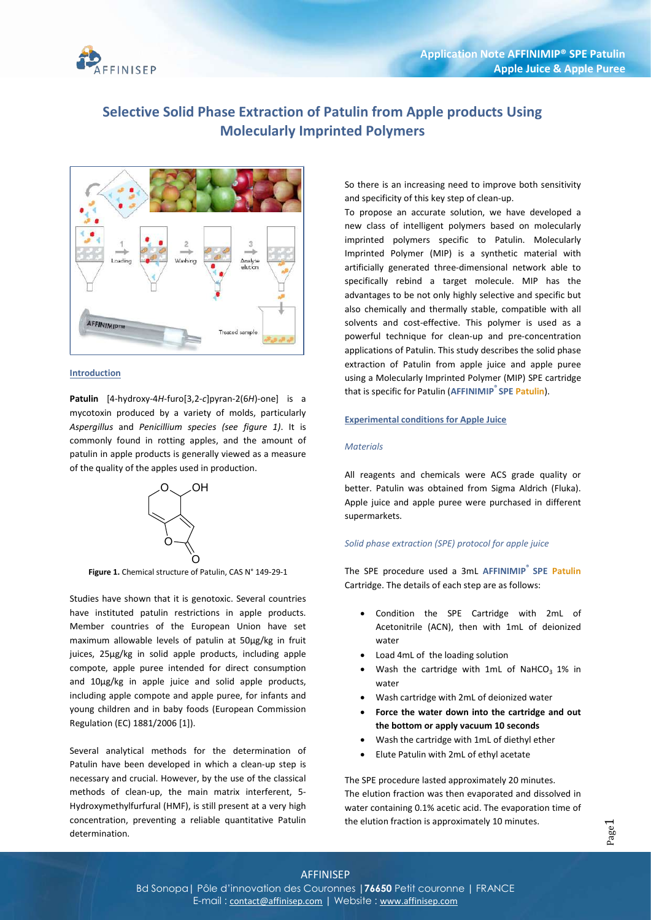

# Selective Solid Phase Extraction of Patulin from Apple products Using Molecularly Imprinted Polymers



#### **Introduction**

Patulin [4-hydroxy-4H-furo[3,2-c]pyran-2(6H)-one] is a mycotoxin produced by a variety of molds, particularly Aspergillus and Penicillium species (see figure 1). It is commonly found in rotting apples, and the amount of patulin in apple products is generally viewed as a measure of the quality of the apples used in production.



Figure 1. Chemical structure of Patulin, CAS N° 149-29-1

Studies have shown that it is genotoxic. Several countries have instituted patulin restrictions in apple products. Member countries of the European Union have set maximum allowable levels of patulin at 50µg/kg in fruit juices, 25µg/kg in solid apple products, including apple compote, apple puree intended for direct consumption and 10µg/kg in apple juice and solid apple products, including apple compote and apple puree, for infants and young children and in baby foods (European Commission Regulation (EC) 1881/2006 [1]).

Several analytical methods for the determination of Patulin have been developed in which a clean-up step is necessary and crucial. However, by the use of the classical methods of clean-up, the main matrix interferent, 5- Hydroxymethylfurfural (HMF), is still present at a very high concentration, preventing a reliable quantitative Patulin determination.

So there is an increasing need to improve both sensitivity and specificity of this key step of clean-up.

To propose an accurate solution, we have developed a new class of intelligent polymers based on molecularly imprinted polymers specific to Patulin. Molecularly Imprinted Polymer (MIP) is a synthetic material with artificially generated three-dimensional network able to specifically rebind a target molecule. MIP has the advantages to be not only highly selective and specific but also chemically and thermally stable, compatible with all solvents and cost-effective. This polymer is used as a powerful technique for clean-up and pre-concentration applications of Patulin. This study describes the solid phase extraction of Patulin from apple juice and apple puree using a Molecularly Imprinted Polymer (MIP) SPE cartridge that is specific for Patulin (AFFINIMIP<sup>®</sup> SPE Patulin).

## Experimental conditions for Apple Juice

### **Materials**

All reagents and chemicals were ACS grade quality or better. Patulin was obtained from Sigma Aldrich (Fluka). Apple juice and apple puree were purchased in different supermarkets.

# Solid phase extraction (SPE) protocol for apple juice

The SPE procedure used a 3mL AFFINIMIP® SPE Patulin Cartridge. The details of each step are as follows:

- Condition the SPE Cartridge with 2mL of Acetonitrile (ACN), then with 1mL of deionized water
- Load 4mL of the loading solution
- Wash the cartridge with 1mL of NaHCO<sub>3</sub> 1% in water
- Wash cartridge with 2mL of deionized water
- Force the water down into the cartridge and out the bottom or apply vacuum 10 seconds
- Wash the cartridge with 1mL of diethyl ether
- Elute Patulin with 2mL of ethyl acetate

The SPE procedure lasted approximately 20 minutes. The elution fraction was then evaporated and dissolved in water containing 0.1% acetic acid. The evaporation time of the elution fraction is approximately 10 minutes.

# AFFINISEP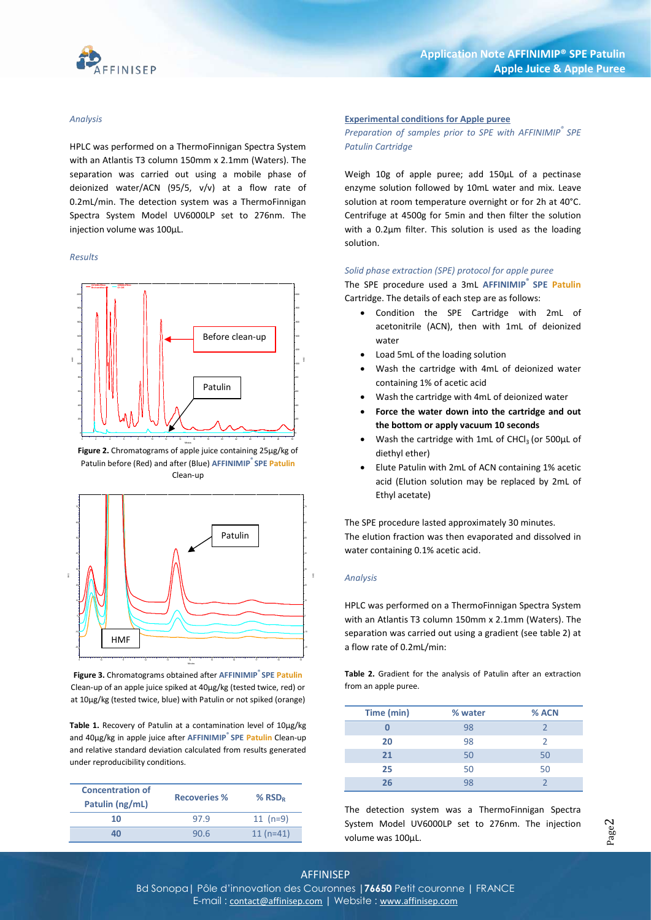

#### Analysis

HPLC was performed on a ThermoFinnigan Spectra System with an Atlantis T3 column 150mm x 2.1mm (Waters). The separation was carried out using a mobile phase of deionized water/ACN (95/5, v/v) at a flow rate of 0.2mL/min. The detection system was a ThermoFinnigan Spectra System Model UV6000LP set to 276nm. The injection volume was 100µL.

#### Results



Figure 2. Chromatograms of apple juice containing 25µg/kg of Patulin before (Red) and after (Blue) AFFINIMIP<sup>®</sup> SPE Patulin Clean-up



Figure 3. Chromatograms obtained after AFFINIMIP<sup>®</sup> SPE Patulin Clean-up of an apple juice spiked at 40µg/kg (tested twice, red) or at 10µg/kg (tested twice, blue) with Patulin or not spiked (orange)

Table 1. Recovery of Patulin at a contamination level of 10µg/kg and 40µg/kg in apple juice after AFFINIMIP® SPE Patulin Clean-up and relative standard deviation calculated from results generated under reproducibility conditions.

| % $RSD_R$  |
|------------|
| $11 (n=9)$ |
| $11(n=41)$ |
|            |

## Experimental conditions for Apple puree

Preparation of samples prior to SPE with AFFINIMIP® SPE Patulin Cartridge

Weigh 10g of apple puree; add 150µL of a pectinase enzyme solution followed by 10mL water and mix. Leave solution at room temperature overnight or for 2h at 40°C. Centrifuge at 4500g for 5min and then filter the solution with a 0.2µm filter. This solution is used as the loading solution.

#### Solid phase extraction (SPE) protocol for apple puree

The SPE procedure used a 3mL AFFINIMIP<sup>®</sup> SPE Patulin Cartridge. The details of each step are as follows:

- Condition the SPE Cartridge with 2mL of acetonitrile (ACN), then with 1mL of deionized water
- $\bullet$  Load 5mL of the loading solution
	- Wash the cartridge with 4mL of deionized water containing 1% of acetic acid
	- Wash the cartridge with 4mL of deionized water
	- Force the water down into the cartridge and out the bottom or apply vacuum 10 seconds
	- Wash the cartridge with 1mL of CHCl<sub>3</sub> (or 500 $\mu$ L of diethyl ether)
	- Elute Patulin with 2mL of ACN containing 1% acetic acid (Elution solution may be replaced by 2mL of Ethyl acetate)

The SPE procedure lasted approximately 30 minutes. 60 The elution fraction was then evaporated and dissolved in 50 water containing 0.1% acetic acid. The SPE procedure lasted approximately<br>The elution fraction was then evaporate<br>water containing 0.1% acetic acid.

#### $\frac{3}{4}$  Analysis and  $\frac{1}{4}$  Analysis and  $\frac{1}{4}$

**EXECUTE:** HPLC was performed on a ThermoFinnigan Spectra System with an Atlantis T3 column 150mm x 2.1mm (Waters). The **separation was carried out using a gradient (see table 2) at 4 a** flow rate of 0.2mL/min:

> Table 2. Gradient for the analysis of Patulin after an extraction from an apple puree.

| Time (min) | % water | % ACN |
|------------|---------|-------|
|            | 98      |       |
| 20         | 98      |       |
| 21         | 50      | 50    |
| 25         | 50      | 50    |
| 26         |         |       |

The detection system was a ThermoFinnigan Spectra System Model UV6000LP set to 276nm. The injection volume was 100µL.

# AFFINISEP

Bd Sonopa | Pôle d'innovation des Couronnes | 76650 Petit couronne | FRANCE E-mail: contact of the contact of the contact of the contact of the contact of the contact of the contact of the contact of the contact of the contact of the contact of the contact of the contact of the contact of the con